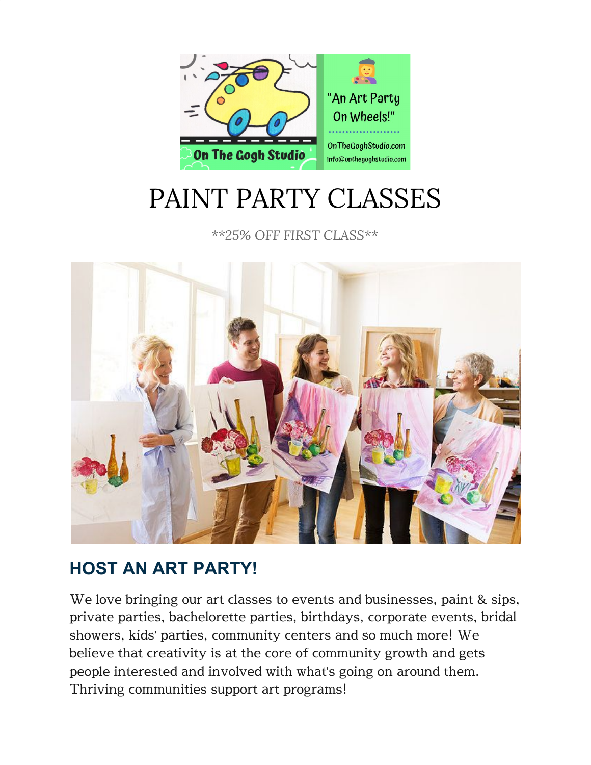

# PAINT PARTY CLASSES

*\*\*25% OFF FIRST CLASS\*\**



## **HOST AN ART PARTY!**

We love bringing our art classes to events and businesses, paint & sips, private parties, bachelorette parties, birthdays, corporate events, bridal showers, kids' parties, community centers and so much more! We believe that creativity is at the core of community growth and gets people interested and involved with what's going on around them. Thriving communities support art programs!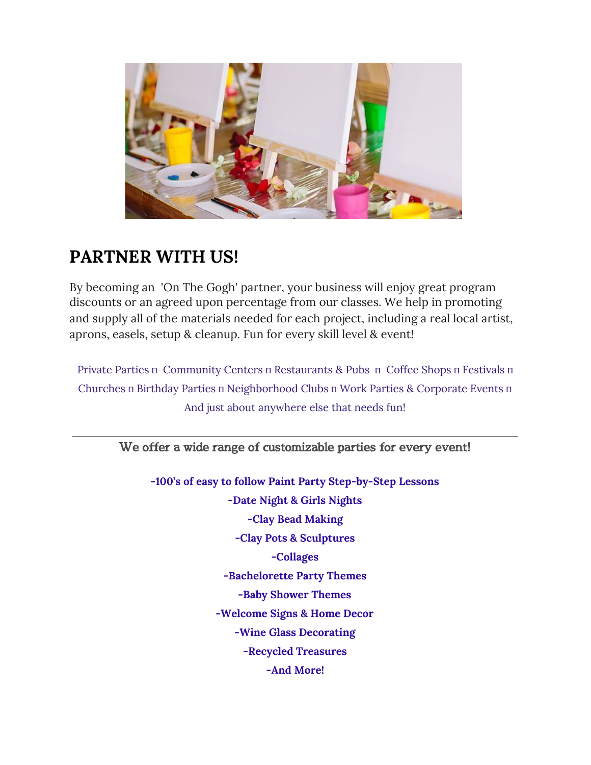

### **PARTNER WITH US!**

By becoming an 'On The Gogh' partner, your business will enjoy great program discounts or an agreed upon percentage from our classes. We help in promoting and supply all of the materials needed for each project, including a real local artist, aprons, easels, setup & cleanup. Fun for every skill level & event!

Private Parties n Community Centers a Restaurants & Pubs n Coffee Shops a Festivals n Churches a Birthday Parties a Neighborhood Clubs a Work Parties & Corporate Events a And just about anywhere else that needs fun!

We offer a wide range of customizable parties for every event!

**-100's of easy to follow Paint Party Step-by-Step Lessons -Date Night & Girls Nights -Clay Bead Making -Clay Pots & Sculptures -Collages -Bachelorette Party Themes -Baby Shower Themes -Welcome Signs & Home Decor -Wine Glass Decorating -Recycled Treasures -And More!**